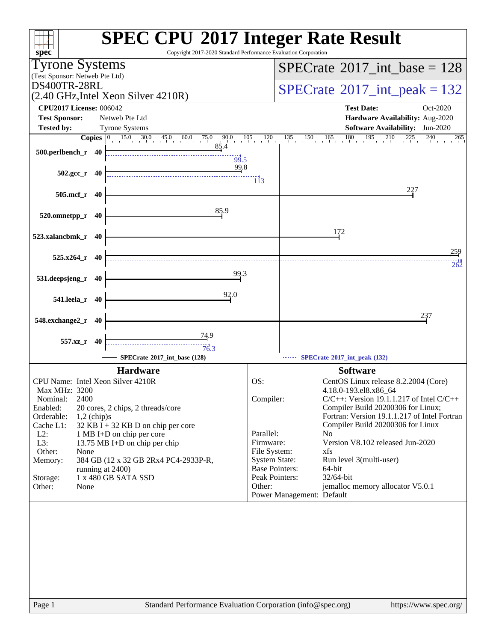| Copyright 2017-2020 Standard Performance Evaluation Corporation<br>$spec^*$                             | <b>SPEC CPU®2017 Integer Rate Result</b>                                             |
|---------------------------------------------------------------------------------------------------------|--------------------------------------------------------------------------------------|
| <b>Tyrone Systems</b>                                                                                   | $SPECrate^{\circ}2017\_int\_base = 128$                                              |
| (Test Sponsor: Netweb Pte Ltd)                                                                          |                                                                                      |
| DS400TR-28RL                                                                                            | $SPECrate$ <sup>®</sup> 2017_int_peak = 132                                          |
| (2.40 GHz, Intel Xeon Silver 4210R)                                                                     |                                                                                      |
| <b>CPU2017 License: 006042</b>                                                                          | <b>Test Date:</b><br>Oct-2020                                                        |
| <b>Test Sponsor:</b><br>Netweb Pte Ltd                                                                  | Hardware Availability: Aug-2020                                                      |
| <b>Tested by:</b><br><b>Tyrone Systems</b>                                                              | <b>Software Availability:</b> Jun-2020<br>265                                        |
| <b>Copies</b> $\begin{bmatrix} 0 & 15.0 & 30.0 & 45.0 & 60.0 & 75.0 & 90.0 & 105 \end{bmatrix}$<br>85.4 | $180 \t 195 \t 210$<br>120<br>135<br>$\frac{150}{1}$ $\frac{165}{1}$<br>$225 \t 240$ |
| 500.perlbench_r 40<br>$\frac{1}{99.5}$                                                                  |                                                                                      |
| 99.8                                                                                                    |                                                                                      |
| $502.\text{gcc}_r$ 40                                                                                   | 113                                                                                  |
| 505.mcf_r 40                                                                                            | 227                                                                                  |
|                                                                                                         |                                                                                      |
| 85.9<br>520.omnetpp_r 40                                                                                |                                                                                      |
|                                                                                                         |                                                                                      |
| 523.xalancbmk_r 40                                                                                      | 172                                                                                  |
|                                                                                                         |                                                                                      |
| $525.x264$ <sub>r</sub> 40                                                                              | 259                                                                                  |
| 99.3                                                                                                    | 262                                                                                  |
| 531.deepsjeng_r<br>40                                                                                   |                                                                                      |
| 92.0                                                                                                    |                                                                                      |
| 541.leela_r 40                                                                                          |                                                                                      |
| 548.exchange2_r<br>40                                                                                   | 237                                                                                  |
|                                                                                                         |                                                                                      |
| <u>74.9</u><br>557.xz_r 40                                                                              |                                                                                      |
| 76.3                                                                                                    |                                                                                      |
| SPECrate*2017_int_base (128)                                                                            | SPECrate®2017_int_peak (132)                                                         |
| <b>Hardware</b>                                                                                         | <b>Software</b>                                                                      |
| CPU Name: Intel Xeon Silver 4210R<br>Max MHz: 3200                                                      | OS:<br>CentOS Linux release 8.2.2004 (Core)<br>4.18.0-193.el8.x86_64                 |
| 2400<br>Nominal:                                                                                        | Compiler:<br>$C/C++$ : Version 19.1.1.217 of Intel $C/C++$                           |
| Enabled:<br>20 cores, 2 chips, 2 threads/core                                                           | Compiler Build 20200306 for Linux;                                                   |
| Orderable:<br>$1,2$ (chip)s                                                                             | Fortran: Version 19.1.1.217 of Intel Fortran                                         |
| $32$ KB I + 32 KB D on chip per core<br>Cache L1:<br>$L2$ :<br>1 MB I+D on chip per core                | Compiler Build 20200306 for Linux<br>Parallel:<br>N <sub>0</sub>                     |
| L3:<br>13.75 MB I+D on chip per chip                                                                    | Firmware:<br>Version V8.102 released Jun-2020                                        |
| Other:<br>None                                                                                          | File System:<br>xfs                                                                  |
| 384 GB (12 x 32 GB 2Rx4 PC4-2933P-R,<br>Memory:<br>running at 2400)                                     | <b>System State:</b><br>Run level 3(multi-user)<br><b>Base Pointers:</b><br>64-bit   |
| 1 x 480 GB SATA SSD<br>Storage:                                                                         | Peak Pointers:<br>32/64-bit                                                          |
| Other:<br>None                                                                                          | jemalloc memory allocator V5.0.1<br>Other:                                           |
|                                                                                                         | Power Management: Default                                                            |
|                                                                                                         |                                                                                      |
|                                                                                                         |                                                                                      |
|                                                                                                         |                                                                                      |
|                                                                                                         |                                                                                      |
|                                                                                                         |                                                                                      |
|                                                                                                         |                                                                                      |
|                                                                                                         |                                                                                      |
|                                                                                                         |                                                                                      |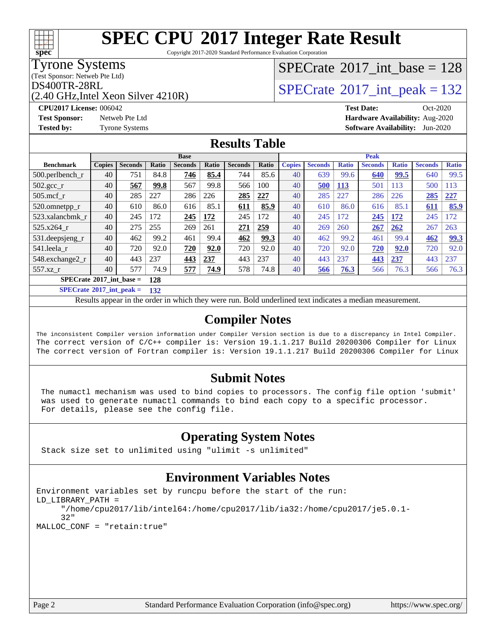Copyright 2017-2020 Standard Performance Evaluation Corporation

Tyrone Systems

**[spec](http://www.spec.org/)**

(Test Sponsor: Netweb Pte Ltd)

(2.40 GHz,Intel Xeon Silver 4210R)

### $SPECTate@2017_int\_base = 128$

 $DS400TR-28RL$ <br>(2.40 GHz Intel Xeon Silver 4210R) [SPECrate](http://www.spec.org/auto/cpu2017/Docs/result-fields.html#SPECrate2017intpeak)®[2017\\_int\\_peak = 1](http://www.spec.org/auto/cpu2017/Docs/result-fields.html#SPECrate2017intpeak)32

**[CPU2017 License:](http://www.spec.org/auto/cpu2017/Docs/result-fields.html#CPU2017License)** 006042 **[Test Date:](http://www.spec.org/auto/cpu2017/Docs/result-fields.html#TestDate)** Oct-2020 **[Test Sponsor:](http://www.spec.org/auto/cpu2017/Docs/result-fields.html#TestSponsor)** Netweb Pte Ltd **[Hardware Availability:](http://www.spec.org/auto/cpu2017/Docs/result-fields.html#HardwareAvailability)** Aug-2020 **[Tested by:](http://www.spec.org/auto/cpu2017/Docs/result-fields.html#Testedby)** Tyrone Systems **[Software Availability:](http://www.spec.org/auto/cpu2017/Docs/result-fields.html#SoftwareAvailability)** Jun-2020

### **[Results Table](http://www.spec.org/auto/cpu2017/Docs/result-fields.html#ResultsTable)**

|                                     | <b>Base</b>   |                |       |                | <b>Peak</b> |                |       |               |                |              |                |              |                |                 |
|-------------------------------------|---------------|----------------|-------|----------------|-------------|----------------|-------|---------------|----------------|--------------|----------------|--------------|----------------|-----------------|
| <b>Benchmark</b>                    | <b>Copies</b> | <b>Seconds</b> | Ratio | <b>Seconds</b> | Ratio       | <b>Seconds</b> | Ratio | <b>Copies</b> | <b>Seconds</b> | <b>Ratio</b> | <b>Seconds</b> | <b>Ratio</b> | <b>Seconds</b> | <b>Ratio</b>    |
| $500$ .perlbench r                  | 40            | 751            | 84.8  | 746            | 85.4        | 744            | 85.6  | 40            | 639            | 99.6         | 640            | 99.5         | 640            | 99.5            |
| 502.gcc_r                           | 40            | 567            | 99.8  | 567            | 99.8        | 566            | 100   | 40            | 500            | <b>113</b>   | 501            | 113          | 500            | $\overline{13}$ |
| $505$ .mcf r                        | 40            | 285            | 227   | 286            | 226         | 285            | 227   | 40            | 285            | 227          | 286            | 226          | 285            | 227             |
| 520.omnetpp_r                       | 40            | 610            | 86.0  | 616            | 85.1        | 611            | 85.9  | 40            | 610            | 86.0         | 616            | 85.1         | 611            | 85.9            |
| 523.xalanchmk r                     | 40            | 245            | 172   | 245            | 172         | 245            | 172   | 40            | 245            | 172          | 245            | 172          | 245            | 172             |
| 525.x264 r                          | 40            | 275            | 255   | 269            | 261         | 271            | 259   | 40            | 269            | 260          | 267            | 262          | 267            | 263             |
| 531.deepsjeng_r                     | 40            | 462            | 99.2  | 461            | 99.4        | 462            | 99.3  | 40            | 462            | 99.2         | 461            | 99.4         | 462            | 99.3            |
| 541.leela r                         | 40            | 720            | 92.0  | 720            | 92.0        | 720            | 92.0  | 40            | 720            | 92.0         | 720            | 92.0         | 720            | 92.0            |
| 548.exchange2 r                     | 40            | 443            | 237   | 443            | 237         | 443            | 237   | 40            | 443            | 237          | 443            | 237          | 443            | 237             |
| 557.xz r                            | 40            | 577            | 74.9  | 577            | 74.9        | 578            | 74.8  | 40            | 566            | 76.3         | 566            | 76.3         | 566            | 76.3            |
| $SPECrate^{\otimes}2017$ int base = |               |                | 128   |                |             |                |       |               |                |              |                |              |                |                 |

**[SPECrate](http://www.spec.org/auto/cpu2017/Docs/result-fields.html#SPECrate2017intpeak)[2017\\_int\\_peak =](http://www.spec.org/auto/cpu2017/Docs/result-fields.html#SPECrate2017intpeak) 132**

Results appear in the [order in which they were run.](http://www.spec.org/auto/cpu2017/Docs/result-fields.html#RunOrder) Bold underlined text [indicates a median measurement.](http://www.spec.org/auto/cpu2017/Docs/result-fields.html#Median)

#### **[Compiler Notes](http://www.spec.org/auto/cpu2017/Docs/result-fields.html#CompilerNotes)**

The inconsistent Compiler version information under Compiler Version section is due to a discrepancy in Intel Compiler. The correct version of C/C++ compiler is: Version 19.1.1.217 Build 20200306 Compiler for Linux The correct version of Fortran compiler is: Version 19.1.1.217 Build 20200306 Compiler for Linux

#### **[Submit Notes](http://www.spec.org/auto/cpu2017/Docs/result-fields.html#SubmitNotes)**

 The numactl mechanism was used to bind copies to processors. The config file option 'submit' was used to generate numactl commands to bind each copy to a specific processor. For details, please see the config file.

### **[Operating System Notes](http://www.spec.org/auto/cpu2017/Docs/result-fields.html#OperatingSystemNotes)**

Stack size set to unlimited using "ulimit -s unlimited"

#### **[Environment Variables Notes](http://www.spec.org/auto/cpu2017/Docs/result-fields.html#EnvironmentVariablesNotes)**

```
Environment variables set by runcpu before the start of the run:
LD_LIBRARY_PATH =
      "/home/cpu2017/lib/intel64:/home/cpu2017/lib/ia32:/home/cpu2017/je5.0.1-
      32"
MALLOC_CONF = "retain:true"
```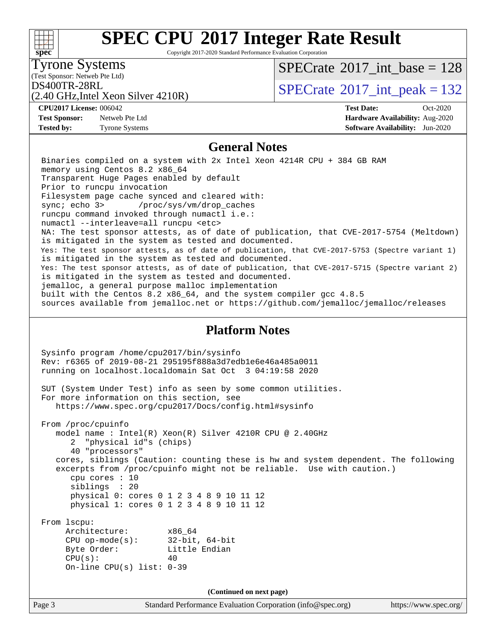#### Page 3 Standard Performance Evaluation Corporation [\(info@spec.org\)](mailto:info@spec.org) <https://www.spec.org/> **[spec](http://www.spec.org/) [SPEC CPU](http://www.spec.org/auto/cpu2017/Docs/result-fields.html#SPECCPU2017IntegerRateResult)[2017 Integer Rate Result](http://www.spec.org/auto/cpu2017/Docs/result-fields.html#SPECCPU2017IntegerRateResult)** Copyright 2017-2020 Standard Performance Evaluation Corporation (Test Sponsor: Netweb Pte Ltd) Tyrone Systems (2.40 GHz,Intel Xeon Silver 4210R)  $DS400TR-28RL$ <br> $(2.40 GHz$  Intel Year Silver 4210P)  $SPECTate$ <sup>®</sup>[2017\\_int\\_base =](http://www.spec.org/auto/cpu2017/Docs/result-fields.html#SPECrate2017intbase) 128 **[CPU2017 License:](http://www.spec.org/auto/cpu2017/Docs/result-fields.html#CPU2017License)** 006042 **[Test Date:](http://www.spec.org/auto/cpu2017/Docs/result-fields.html#TestDate)** Oct-2020 **[Test Sponsor:](http://www.spec.org/auto/cpu2017/Docs/result-fields.html#TestSponsor)** Netweb Pte Ltd **[Hardware Availability:](http://www.spec.org/auto/cpu2017/Docs/result-fields.html#HardwareAvailability)** Aug-2020 **[Tested by:](http://www.spec.org/auto/cpu2017/Docs/result-fields.html#Testedby)** Tyrone Systems **[Software Availability:](http://www.spec.org/auto/cpu2017/Docs/result-fields.html#SoftwareAvailability)** Jun-2020 **[General Notes](http://www.spec.org/auto/cpu2017/Docs/result-fields.html#GeneralNotes)** Binaries compiled on a system with 2x Intel Xeon 4214R CPU + 384 GB RAM memory using Centos 8.2 x86\_64 Transparent Huge Pages enabled by default Prior to runcpu invocation Filesystem page cache synced and cleared with: sync; echo 3> /proc/sys/vm/drop\_caches runcpu command invoked through numactl i.e.: numactl --interleave=all runcpu <etc> NA: The test sponsor attests, as of date of publication, that CVE-2017-5754 (Meltdown) is mitigated in the system as tested and documented. Yes: The test sponsor attests, as of date of publication, that CVE-2017-5753 (Spectre variant 1) is mitigated in the system as tested and documented. Yes: The test sponsor attests, as of date of publication, that CVE-2017-5715 (Spectre variant 2) is mitigated in the system as tested and documented. jemalloc, a general purpose malloc implementation built with the Centos 8.2 x86\_64, and the system compiler gcc 4.8.5 sources available from jemalloc.net or<https://github.com/jemalloc/jemalloc/releases> **[Platform Notes](http://www.spec.org/auto/cpu2017/Docs/result-fields.html#PlatformNotes)** Sysinfo program /home/cpu2017/bin/sysinfo Rev: r6365 of 2019-08-21 295195f888a3d7edb1e6e46a485a0011 running on localhost.localdomain Sat Oct 3 04:19:58 2020 SUT (System Under Test) info as seen by some common utilities. For more information on this section, see <https://www.spec.org/cpu2017/Docs/config.html#sysinfo> From /proc/cpuinfo model name : Intel(R) Xeon(R) Silver 4210R CPU @ 2.40GHz 2 "physical id"s (chips) 40 "processors" cores, siblings (Caution: counting these is hw and system dependent. The following excerpts from /proc/cpuinfo might not be reliable. Use with caution.) cpu cores : 10 siblings : 20 physical 0: cores 0 1 2 3 4 8 9 10 11 12 physical 1: cores 0 1 2 3 4 8 9 10 11 12 From lscpu: Architecture: x86\_64 CPU op-mode(s): 32-bit, 64-bit Byte Order: Little Endian  $CPU(s):$  40 On-line CPU(s) list: 0-39 **(Continued on next page)**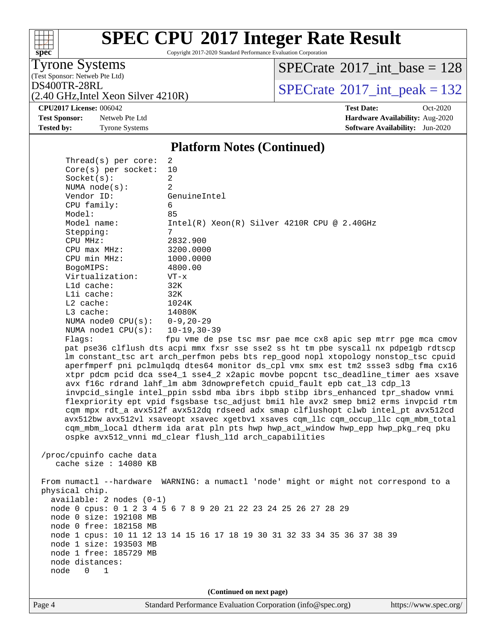# **[spec](http://www.spec.org/)**

## **[SPEC CPU](http://www.spec.org/auto/cpu2017/Docs/result-fields.html#SPECCPU2017IntegerRateResult)[2017 Integer Rate Result](http://www.spec.org/auto/cpu2017/Docs/result-fields.html#SPECCPU2017IntegerRateResult)**

Copyright 2017-2020 Standard Performance Evaluation Corporation

(Test Sponsor: Netweb Pte Ltd) Tyrone Systems

 $SPECrate$ <sup>®</sup>[2017\\_int\\_base =](http://www.spec.org/auto/cpu2017/Docs/result-fields.html#SPECrate2017intbase) 128

(2.40 GHz,Intel Xeon Silver 4210R)

 $Thmend(a)$  per core:

 $DS400TR-28RL$ <br>(2.40 GHz Intel Xeon Silver 4210R)  $SPECrate^{\circ}2017\_int\_peak = 132$  $SPECrate^{\circ}2017\_int\_peak = 132$ 

**[Tested by:](http://www.spec.org/auto/cpu2017/Docs/result-fields.html#Testedby)** Tyrone Systems **[Software Availability:](http://www.spec.org/auto/cpu2017/Docs/result-fields.html#SoftwareAvailability)** Jun-2020

**[CPU2017 License:](http://www.spec.org/auto/cpu2017/Docs/result-fields.html#CPU2017License)** 006042 **[Test Date:](http://www.spec.org/auto/cpu2017/Docs/result-fields.html#TestDate)** Oct-2020 **[Test Sponsor:](http://www.spec.org/auto/cpu2017/Docs/result-fields.html#TestSponsor)** Netweb Pte Ltd **[Hardware Availability:](http://www.spec.org/auto/cpu2017/Docs/result-fields.html#HardwareAvailability)** Aug-2020

#### **[Platform Notes \(Continued\)](http://www.spec.org/auto/cpu2017/Docs/result-fields.html#PlatformNotes)**

| THE CAUS PEL COLE.         |                                                                                      |
|----------------------------|--------------------------------------------------------------------------------------|
| $Core(s)$ per socket:      | 10                                                                                   |
| Socket(s):                 | $\overline{a}$                                                                       |
| NUMA $node(s)$ :           | $\mathfrak{D}$                                                                       |
| Vendor ID:                 | GenuineIntel                                                                         |
| CPU family:                | б.                                                                                   |
| Model:                     | 85                                                                                   |
| Model name:                | $Intel(R) Xeon(R) Silver 4210R CPU @ 2.40GHz$                                        |
| Stepping:                  | 7                                                                                    |
| CPU MHz:                   | 2832.900                                                                             |
| $CPU$ max $MHz$ :          | 3200.0000                                                                            |
| CPU min MHz:               | 1000.0000                                                                            |
| BogoMIPS:                  | 4800.00                                                                              |
| Virtualization:            | $VT - x$                                                                             |
| L1d cache:                 | 32K                                                                                  |
| Lli cache:                 | 32K                                                                                  |
| L2 cache:                  | 1024K                                                                                |
| L3 cache:                  | 14080K                                                                               |
| NUMA node0 CPU(s):         | $0 - 9$ , 20-29                                                                      |
| NUMA $node1$ $CPU(s)$ :    | $10 - 19, 30 - 39$                                                                   |
| Flaqs:                     | fpu vme de pse tsc msr pae mce cx8 apic sep mtrr pge mca cmov                        |
|                            | pat pse36 clflush dts acpi mmx fxsr sse sse2 ss ht tm pbe syscall nx pdpelgb rdtscp  |
|                            | lm constant_tsc art arch_perfmon pebs bts rep_good nopl xtopology nonstop_tsc cpuid  |
|                            | aperfmperf pni pclmulqdq dtes64 monitor ds_cpl vmx smx est tm2 ssse3 sdbg fma cx16   |
|                            | xtpr pdcm pcid dca sse4_1 sse4_2 x2apic movbe popcnt tsc_deadline_timer aes xsave    |
|                            | avx f16c rdrand lahf_lm abm 3dnowprefetch cpuid_fault epb cat_13 cdp_13              |
|                            | invpcid_single intel_ppin ssbd mba ibrs ibpb stibp ibrs_enhanced tpr_shadow vnmi     |
|                            | flexpriority ept vpid fsgsbase tsc_adjust bmil hle avx2 smep bmi2 erms invpcid rtm   |
|                            | cqm mpx rdt_a avx512f avx512dq rdseed adx smap clflushopt clwb intel_pt avx512cd     |
|                            | avx512bw avx512vl xsaveopt xsavec xgetbvl xsaves cqm_llc cqm_occup_llc cqm_mbm_total |
|                            | cqm_mbm_local dtherm ida arat pln pts hwp hwp_act_window hwp_epp hwp_pkg_req pku     |
|                            | ospke avx512_vnni md_clear flush_l1d arch_capabilities                               |
| /proc/cpuinfo cache data   |                                                                                      |
| cache size $: 14080$ KB    |                                                                                      |
|                            |                                                                                      |
|                            | From numactl --hardware WARNING: a numactl 'node' might or might not correspond to a |
| physical chip.             |                                                                                      |
| $available: 2 nodes (0-1)$ |                                                                                      |
|                            | node 0 cpus: 0 1 2 3 4 5 6 7 8 9 20 21 22 23 24 25 26 27 28 29                       |
|                            |                                                                                      |

 node 1 cpus: 10 11 12 13 14 15 16 17 18 19 30 31 32 33 34 35 36 37 38 39 node 1 size: 193503 MB node 1 free: 185729 MB node distances: node 0 1

 node 0 size: 192108 MB node 0 free: 182158 MB

**(Continued on next page)**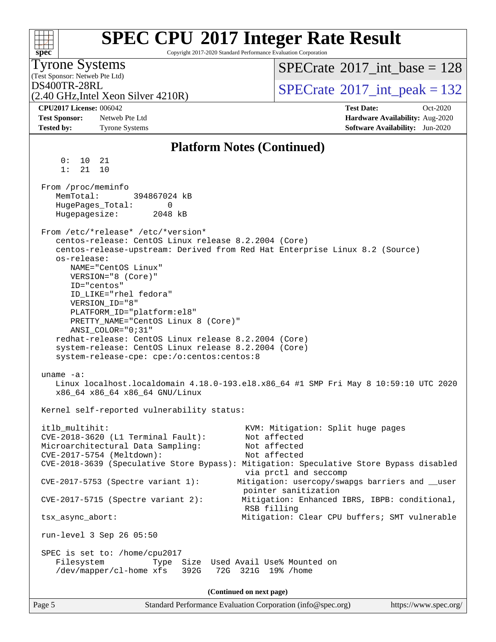| <b>SPEC CPU®2017 Integer Rate Result</b><br>Copyright 2017-2020 Standard Performance Evaluation Corporation                                                                                                                                                                                                                                                                                                                                                                                                                                                                                                                                                                                       |                                                                                                                                                                                                                                                                                         |
|---------------------------------------------------------------------------------------------------------------------------------------------------------------------------------------------------------------------------------------------------------------------------------------------------------------------------------------------------------------------------------------------------------------------------------------------------------------------------------------------------------------------------------------------------------------------------------------------------------------------------------------------------------------------------------------------------|-----------------------------------------------------------------------------------------------------------------------------------------------------------------------------------------------------------------------------------------------------------------------------------------|
| spec <sup>®</sup><br><b>Tyrone Systems</b><br>(Test Sponsor: Netweb Pte Ltd)                                                                                                                                                                                                                                                                                                                                                                                                                                                                                                                                                                                                                      | $SPECTate$ <sup>®</sup> 2017_int_base = 128                                                                                                                                                                                                                                             |
| DS400TR-28RL<br>(2.40 GHz, Intel Xeon Silver 4210R)                                                                                                                                                                                                                                                                                                                                                                                                                                                                                                                                                                                                                                               | $SPECTate$ <sup>®</sup> 2017_int_peak = 132                                                                                                                                                                                                                                             |
| <b>CPU2017 License: 006042</b><br><b>Test Sponsor:</b><br>Netweb Pte Ltd<br><b>Tested by:</b><br><b>Tyrone Systems</b>                                                                                                                                                                                                                                                                                                                                                                                                                                                                                                                                                                            | <b>Test Date:</b><br>Oct-2020<br>Hardware Availability: Aug-2020<br><b>Software Availability:</b> Jun-2020                                                                                                                                                                              |
| <b>Platform Notes (Continued)</b>                                                                                                                                                                                                                                                                                                                                                                                                                                                                                                                                                                                                                                                                 |                                                                                                                                                                                                                                                                                         |
| 0 :<br>10<br>21<br>1:<br>10<br>21                                                                                                                                                                                                                                                                                                                                                                                                                                                                                                                                                                                                                                                                 |                                                                                                                                                                                                                                                                                         |
| From /proc/meminfo<br>MemTotal:<br>394867024 kB<br>HugePages_Total:<br>0<br>Hugepagesize:<br>2048 kB                                                                                                                                                                                                                                                                                                                                                                                                                                                                                                                                                                                              |                                                                                                                                                                                                                                                                                         |
| From /etc/*release* /etc/*version*<br>centos-release: CentOS Linux release 8.2.2004 (Core)<br>centos-release-upstream: Derived from Red Hat Enterprise Linux 8.2 (Source)<br>os-release:<br>NAME="CentOS Linux"<br>VERSION="8 (Core)"<br>ID="centos"<br>ID_LIKE="rhel fedora"<br>VERSION_ID="8"<br>PLATFORM_ID="platform:el8"<br>PRETTY_NAME="CentOS Linux 8 (Core)"<br>ANSI_COLOR="0;31"<br>redhat-release: CentOS Linux release 8.2.2004 (Core)<br>system-release: CentOS Linux release 8.2.2004 (Core)<br>system-release-cpe: cpe:/o:centos:centos:8<br>uname $-a$ :<br>Linux localhost.localdomain 4.18.0-193.el8.x86_64 #1 SMP Fri May 8 10:59:10 UTC 2020<br>x86_64 x86_64 x86_64 GNU/Linux |                                                                                                                                                                                                                                                                                         |
| Kernel self-reported vulnerability status:                                                                                                                                                                                                                                                                                                                                                                                                                                                                                                                                                                                                                                                        |                                                                                                                                                                                                                                                                                         |
| itlb_multihit:<br>CVE-2018-3620 (L1 Terminal Fault):<br>Microarchitectural Data Sampling:<br>CVE-2017-5754 (Meltdown):<br>CVE-2018-3639 (Speculative Store Bypass): Mitigation: Speculative Store Bypass disabled<br>CVE-2017-5753 (Spectre variant 1):<br>$CVE-2017-5715$ (Spectre variant 2):<br>RSB filling<br>tsx_async_abort:<br>run-level 3 Sep 26 05:50<br>SPEC is set to: /home/cpu2017                                                                                                                                                                                                                                                                                                   | KVM: Mitigation: Split huge pages<br>Not affected<br>Not affected<br>Not affected<br>via prctl and seccomp<br>Mitigation: usercopy/swapgs barriers and __user<br>pointer sanitization<br>Mitigation: Enhanced IBRS, IBPB: conditional,<br>Mitigation: Clear CPU buffers; SMT vulnerable |
| Filesystem<br>Type Size Used Avail Use% Mounted on<br>/dev/mapper/cl-home xfs<br>72G 321G 19% / home<br>392G                                                                                                                                                                                                                                                                                                                                                                                                                                                                                                                                                                                      |                                                                                                                                                                                                                                                                                         |
| (Continued on next page)                                                                                                                                                                                                                                                                                                                                                                                                                                                                                                                                                                                                                                                                          |                                                                                                                                                                                                                                                                                         |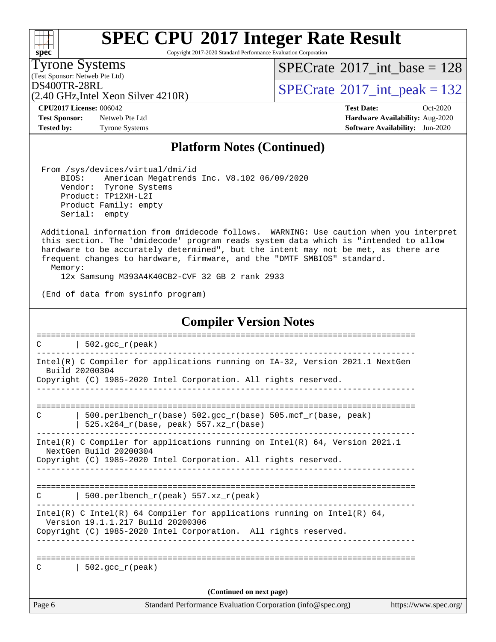Copyright 2017-2020 Standard Performance Evaluation Corporation

(Test Sponsor: Netweb Pte Ltd) Tyrone Systems

**[spec](http://www.spec.org/)**

 $+\!\!+\!\!$ 

 $SPECrate$ <sup>®</sup>[2017\\_int\\_base =](http://www.spec.org/auto/cpu2017/Docs/result-fields.html#SPECrate2017intbase) 128

(2.40 GHz,Intel Xeon Silver 4210R)

 $DS400TR-28RL$ <br> $(2.40 GHz$  Intel Year Silver 4210P)

**[Tested by:](http://www.spec.org/auto/cpu2017/Docs/result-fields.html#Testedby)** Tyrone Systems **[Software Availability:](http://www.spec.org/auto/cpu2017/Docs/result-fields.html#SoftwareAvailability)** Jun-2020

**[CPU2017 License:](http://www.spec.org/auto/cpu2017/Docs/result-fields.html#CPU2017License)** 006042 **[Test Date:](http://www.spec.org/auto/cpu2017/Docs/result-fields.html#TestDate)** Oct-2020 **[Test Sponsor:](http://www.spec.org/auto/cpu2017/Docs/result-fields.html#TestSponsor)** Netweb Pte Ltd **[Hardware Availability:](http://www.spec.org/auto/cpu2017/Docs/result-fields.html#HardwareAvailability)** Aug-2020

#### **[Platform Notes \(Continued\)](http://www.spec.org/auto/cpu2017/Docs/result-fields.html#PlatformNotes)**

 From /sys/devices/virtual/dmi/id BIOS: American Megatrends Inc. V8.102 06/09/2020 Vendor: Tyrone Systems Product: TP12XH-L2I Product Family: empty Serial: empty

 Additional information from dmidecode follows. WARNING: Use caution when you interpret this section. The 'dmidecode' program reads system data which is "intended to allow hardware to be accurately determined", but the intent may not be met, as there are frequent changes to hardware, firmware, and the "DMTF SMBIOS" standard.

Memory:

12x Samsung M393A4K40CB2-CVF 32 GB 2 rank 2933

(End of data from sysinfo program)

#### **[Compiler Version Notes](http://www.spec.org/auto/cpu2017/Docs/result-fields.html#CompilerVersionNotes)**

Page 6 Standard Performance Evaluation Corporation [\(info@spec.org\)](mailto:info@spec.org) <https://www.spec.org/> ==============================================================================  $C \qquad \qquad | \quad 502.\text{gcc\_r}(\text{peak})$ ------------------------------------------------------------------------------ Intel(R) C Compiler for applications running on IA-32, Version 2021.1 NextGen Build 20200304 Copyright (C) 1985-2020 Intel Corporation. All rights reserved. ------------------------------------------------------------------------------ ============================================================================== C | 500.perlbench\_r(base) 502.gcc\_r(base) 505.mcf\_r(base, peak) | 525.x264 $r(base, peak)$  557.xz $r(base)$ ------------------------------------------------------------------------------ Intel(R) C Compiler for applications running on Intel(R) 64, Version 2021.1 NextGen Build 20200304 Copyright (C) 1985-2020 Intel Corporation. All rights reserved. ------------------------------------------------------------------------------ ============================================================================== C | 500.perlbench\_r(peak) 557.xz\_r(peak) ------------------------------------------------------------------------------ Intel(R) C Intel(R) 64 Compiler for applications running on Intel(R)  $64$ , Version 19.1.1.217 Build 20200306 Copyright (C) 1985-2020 Intel Corporation. All rights reserved. ------------------------------------------------------------------------------ ============================================================================== C |  $502 \text{ qcc r}$ (peak) **(Continued on next page)**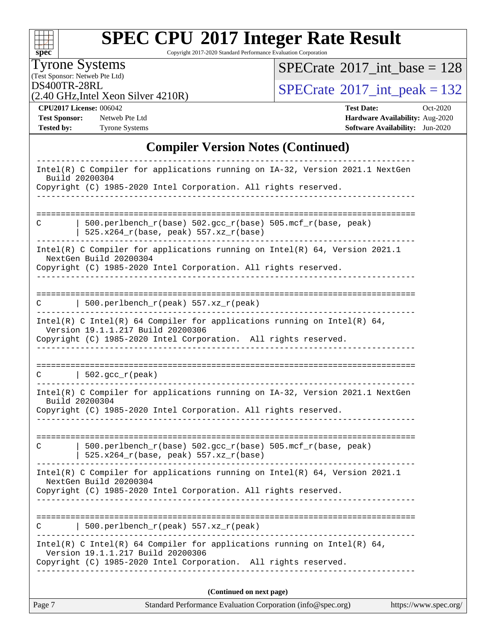| S.<br>e<br>П<br>L. |  |  |  |  |  |
|--------------------|--|--|--|--|--|

Copyright 2017-2020 Standard Performance Evaluation Corporation

(Test Sponsor: Netweb Pte Ltd) Tyrone Systems

 $SPECrate$ <sup>®</sup>[2017\\_int\\_base =](http://www.spec.org/auto/cpu2017/Docs/result-fields.html#SPECrate2017intbase) 128

(2.40 GHz,Intel Xeon Silver 4210R)

 $DS400TR-28RL$ <br>(2.40 GHz Intel Xeon Silver 4210R)  $SPECrate^{\circ}2017\_int\_peak = 132$  $SPECrate^{\circ}2017\_int\_peak = 132$ 

**[CPU2017 License:](http://www.spec.org/auto/cpu2017/Docs/result-fields.html#CPU2017License)** 006042 **[Test Date:](http://www.spec.org/auto/cpu2017/Docs/result-fields.html#TestDate)** Oct-2020 **[Test Sponsor:](http://www.spec.org/auto/cpu2017/Docs/result-fields.html#TestSponsor)** Netweb Pte Ltd **[Hardware Availability:](http://www.spec.org/auto/cpu2017/Docs/result-fields.html#HardwareAvailability)** Aug-2020 **[Tested by:](http://www.spec.org/auto/cpu2017/Docs/result-fields.html#Testedby)** Tyrone Systems **[Software Availability:](http://www.spec.org/auto/cpu2017/Docs/result-fields.html#SoftwareAvailability)** Jun-2020

#### **[Compiler Version Notes \(Continued\)](http://www.spec.org/auto/cpu2017/Docs/result-fields.html#CompilerVersionNotes)**

| Page 7 | Standard Performance Evaluation Corporation (info@spec.org)                                                                                                                      | https://www.spec.org/ |
|--------|----------------------------------------------------------------------------------------------------------------------------------------------------------------------------------|-----------------------|
|        | (Continued on next page)                                                                                                                                                         |                       |
|        | Intel(R) C Intel(R) 64 Compiler for applications running on Intel(R) 64,<br>Version 19.1.1.217 Build 20200306<br>Copyright (C) 1985-2020 Intel Corporation. All rights reserved. |                       |
| C      | 500.perlbench_r(peak) 557.xz_r(peak)                                                                                                                                             |                       |
|        | Intel(R) C Compiler for applications running on $Intel(R) 64$ , Version 2021.1<br>NextGen Build 20200304<br>Copyright (C) 1985-2020 Intel Corporation. All rights reserved.      |                       |
| C      | 500.perlbench_r(base) 502.gcc_r(base) 505.mcf_r(base, peak)<br>525.x264_r(base, peak) 557.xz_r(base)                                                                             |                       |
|        | Intel(R) C Compiler for applications running on IA-32, Version 2021.1 NextGen<br>Build 20200304<br>Copyright (C) 1985-2020 Intel Corporation. All rights reserved.               |                       |
| C      | $\vert$ 502.gcc_r(peak)                                                                                                                                                          |                       |
|        | Intel(R) C Intel(R) 64 Compiler for applications running on Intel(R) 64,<br>Version 19.1.1.217 Build 20200306<br>Copyright (C) 1985-2020 Intel Corporation. All rights reserved. |                       |
| C      | $500.perlbench_r(peak) 557. xz_r(peak)$                                                                                                                                          |                       |
|        | Intel(R) C Compiler for applications running on $Intel(R) 64$ , Version 2021.1<br>NextGen Build 20200304<br>Copyright (C) 1985-2020 Intel Corporation. All rights reserved.      |                       |
| C      | 500.perlbench_r(base) 502.gcc_r(base) 505.mcf_r(base, peak)<br>$525.x264_r(base, peak) 557.xz_r(base)$                                                                           |                       |
|        |                                                                                                                                                                                  |                       |
|        | Intel(R) C Compiler for applications running on IA-32, Version 2021.1 NextGen<br>Build 20200304<br>Copyright (C) 1985-2020 Intel Corporation. All rights reserved.               |                       |
|        |                                                                                                                                                                                  |                       |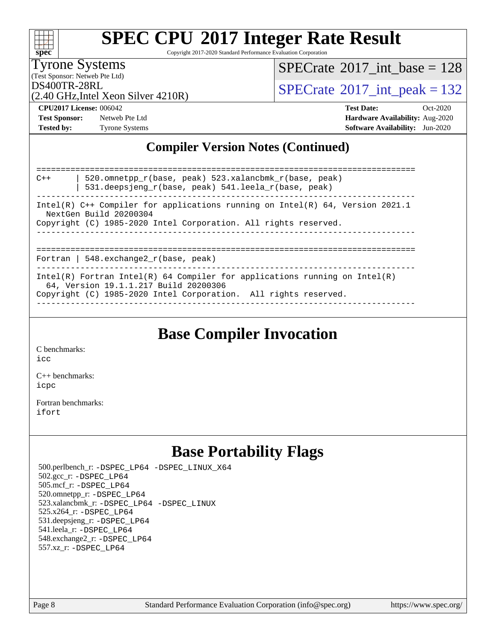| S.<br>æ<br>П<br>L. |  |  |  |  |  |
|--------------------|--|--|--|--|--|

Copyright 2017-2020 Standard Performance Evaluation Corporation

(Test Sponsor: Netweb Pte Ltd) Tyrone Systems

 $SPECTate@2017_int\_base = 128$ 

(2.40 GHz,Intel Xeon Silver 4210R)

 $DS400TR-28RL$ <br> $\alpha$  40 GHz Intel Year Silver 4210R)

**[CPU2017 License:](http://www.spec.org/auto/cpu2017/Docs/result-fields.html#CPU2017License)** 006042 **[Test Date:](http://www.spec.org/auto/cpu2017/Docs/result-fields.html#TestDate)** Oct-2020 **[Test Sponsor:](http://www.spec.org/auto/cpu2017/Docs/result-fields.html#TestSponsor)** Netweb Pte Ltd **[Hardware Availability:](http://www.spec.org/auto/cpu2017/Docs/result-fields.html#HardwareAvailability)** Aug-2020 **[Tested by:](http://www.spec.org/auto/cpu2017/Docs/result-fields.html#Testedby)** Tyrone Systems **[Software Availability:](http://www.spec.org/auto/cpu2017/Docs/result-fields.html#SoftwareAvailability)** Jun-2020

### **[Compiler Version Notes \(Continued\)](http://www.spec.org/auto/cpu2017/Docs/result-fields.html#CompilerVersionNotes)**

============================================================================== C++ | 520.omnetpp\_r(base, peak) 523.xalancbmk\_r(base, peak) | 531.deepsjeng\_r(base, peak) 541.leela\_r(base, peak) ------------------------------------------------------------------------------ Intel(R) C++ Compiler for applications running on Intel(R) 64, Version 2021.1 NextGen Build 20200304 Copyright (C) 1985-2020 Intel Corporation. All rights reserved. ------------------------------------------------------------------------------ ============================================================================== Fortran | 548.exchange2\_r(base, peak) ------------------------------------------------------------------------------ Intel(R) Fortran Intel(R) 64 Compiler for applications running on Intel(R) 64, Version 19.1.1.217 Build 20200306 Copyright (C) 1985-2020 Intel Corporation. All rights reserved. ------------------------------------------------------------------------------

### **[Base Compiler Invocation](http://www.spec.org/auto/cpu2017/Docs/result-fields.html#BaseCompilerInvocation)**

[C benchmarks](http://www.spec.org/auto/cpu2017/Docs/result-fields.html#Cbenchmarks):  $i$ cc

[C++ benchmarks:](http://www.spec.org/auto/cpu2017/Docs/result-fields.html#CXXbenchmarks) [icpc](http://www.spec.org/cpu2017/results/res2020q4/cpu2017-20201012-24152.flags.html#user_CXXbase_intel_icpc_c510b6838c7f56d33e37e94d029a35b4a7bccf4766a728ee175e80a419847e808290a9b78be685c44ab727ea267ec2f070ec5dc83b407c0218cded6866a35d07)

[Fortran benchmarks](http://www.spec.org/auto/cpu2017/Docs/result-fields.html#Fortranbenchmarks): [ifort](http://www.spec.org/cpu2017/results/res2020q4/cpu2017-20201012-24152.flags.html#user_FCbase_intel_ifort_8111460550e3ca792625aed983ce982f94888b8b503583aa7ba2b8303487b4d8a21a13e7191a45c5fd58ff318f48f9492884d4413fa793fd88dd292cad7027ca)

### **[Base Portability Flags](http://www.spec.org/auto/cpu2017/Docs/result-fields.html#BasePortabilityFlags)**

 500.perlbench\_r: [-DSPEC\\_LP64](http://www.spec.org/cpu2017/results/res2020q4/cpu2017-20201012-24152.flags.html#b500.perlbench_r_basePORTABILITY_DSPEC_LP64) [-DSPEC\\_LINUX\\_X64](http://www.spec.org/cpu2017/results/res2020q4/cpu2017-20201012-24152.flags.html#b500.perlbench_r_baseCPORTABILITY_DSPEC_LINUX_X64) 502.gcc\_r: [-DSPEC\\_LP64](http://www.spec.org/cpu2017/results/res2020q4/cpu2017-20201012-24152.flags.html#suite_basePORTABILITY502_gcc_r_DSPEC_LP64) 505.mcf\_r: [-DSPEC\\_LP64](http://www.spec.org/cpu2017/results/res2020q4/cpu2017-20201012-24152.flags.html#suite_basePORTABILITY505_mcf_r_DSPEC_LP64) 520.omnetpp\_r: [-DSPEC\\_LP64](http://www.spec.org/cpu2017/results/res2020q4/cpu2017-20201012-24152.flags.html#suite_basePORTABILITY520_omnetpp_r_DSPEC_LP64) 523.xalancbmk\_r: [-DSPEC\\_LP64](http://www.spec.org/cpu2017/results/res2020q4/cpu2017-20201012-24152.flags.html#suite_basePORTABILITY523_xalancbmk_r_DSPEC_LP64) [-DSPEC\\_LINUX](http://www.spec.org/cpu2017/results/res2020q4/cpu2017-20201012-24152.flags.html#b523.xalancbmk_r_baseCXXPORTABILITY_DSPEC_LINUX) 525.x264\_r: [-DSPEC\\_LP64](http://www.spec.org/cpu2017/results/res2020q4/cpu2017-20201012-24152.flags.html#suite_basePORTABILITY525_x264_r_DSPEC_LP64) 531.deepsjeng\_r: [-DSPEC\\_LP64](http://www.spec.org/cpu2017/results/res2020q4/cpu2017-20201012-24152.flags.html#suite_basePORTABILITY531_deepsjeng_r_DSPEC_LP64) 541.leela\_r: [-DSPEC\\_LP64](http://www.spec.org/cpu2017/results/res2020q4/cpu2017-20201012-24152.flags.html#suite_basePORTABILITY541_leela_r_DSPEC_LP64) 548.exchange2\_r: [-DSPEC\\_LP64](http://www.spec.org/cpu2017/results/res2020q4/cpu2017-20201012-24152.flags.html#suite_basePORTABILITY548_exchange2_r_DSPEC_LP64) 557.xz\_r: [-DSPEC\\_LP64](http://www.spec.org/cpu2017/results/res2020q4/cpu2017-20201012-24152.flags.html#suite_basePORTABILITY557_xz_r_DSPEC_LP64)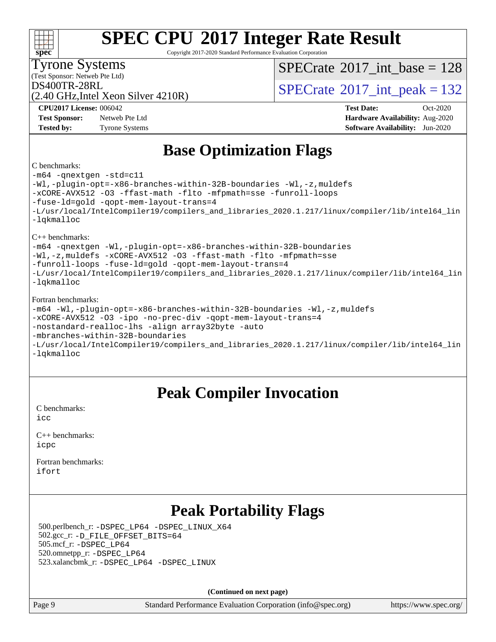Copyright 2017-2020 Standard Performance Evaluation Corporation

(Test Sponsor: Netweb Pte Ltd) Tyrone Systems

**[spec](http://www.spec.org/)**

 $SPECTate$ <sup>®</sup>[2017\\_int\\_base =](http://www.spec.org/auto/cpu2017/Docs/result-fields.html#SPECrate2017intbase) 128

(2.40 GHz,Intel Xeon Silver 4210R)

 $DS400TR-28RL$ <br> $(2.40 GHz<sub>1</sub>1<sub>2</sub>1<sub>2</sub>)<sub>2</sub>1<sub>2</sub>1<sub>2</sub>1<sub>2</sub>)<sub>2</sub>1<sub>2</sub>1<sub>2</sub>1<sub>2</sub>1<sub>2</sub>1<sub>2</sub>)<sub>2</sub>1<sub>2</sub>1<sub>2</sub>1<sub>2</sub>1<sub>2</sub>1<sub>2</sub>1<sub>2</sub>1<sub>2</sub>1<sub>2</sub>1<sub>2</sub>1<sub>2</sub>1<sub>2</sub>1<sub>2</sub>$ 

**[Test Sponsor:](http://www.spec.org/auto/cpu2017/Docs/result-fields.html#TestSponsor)** Netweb Pte Ltd **[Hardware Availability:](http://www.spec.org/auto/cpu2017/Docs/result-fields.html#HardwareAvailability)** Aug-2020 **[Tested by:](http://www.spec.org/auto/cpu2017/Docs/result-fields.html#Testedby)** Tyrone Systems **[Software Availability:](http://www.spec.org/auto/cpu2017/Docs/result-fields.html#SoftwareAvailability)** Jun-2020

**[CPU2017 License:](http://www.spec.org/auto/cpu2017/Docs/result-fields.html#CPU2017License)** 006042 **[Test Date:](http://www.spec.org/auto/cpu2017/Docs/result-fields.html#TestDate)** Oct-2020

### **[Base Optimization Flags](http://www.spec.org/auto/cpu2017/Docs/result-fields.html#BaseOptimizationFlags)**

#### [C benchmarks:](http://www.spec.org/auto/cpu2017/Docs/result-fields.html#Cbenchmarks)

[-m64](http://www.spec.org/cpu2017/results/res2020q4/cpu2017-20201012-24152.flags.html#user_CCbase_m64-icc) [-qnextgen](http://www.spec.org/cpu2017/results/res2020q4/cpu2017-20201012-24152.flags.html#user_CCbase_f-qnextgen) [-std=c11](http://www.spec.org/cpu2017/results/res2020q4/cpu2017-20201012-24152.flags.html#user_CCbase_std-icc-std_0e1c27790398a4642dfca32ffe6c27b5796f9c2d2676156f2e42c9c44eaad0c049b1cdb667a270c34d979996257aeb8fc440bfb01818dbc9357bd9d174cb8524) [-Wl,-plugin-opt=-x86-branches-within-32B-boundaries](http://www.spec.org/cpu2017/results/res2020q4/cpu2017-20201012-24152.flags.html#user_CCbase_f-x86-branches-within-32B-boundaries_0098b4e4317ae60947b7b728078a624952a08ac37a3c797dfb4ffeb399e0c61a9dd0f2f44ce917e9361fb9076ccb15e7824594512dd315205382d84209e912f3) [-Wl,-z,muldefs](http://www.spec.org/cpu2017/results/res2020q4/cpu2017-20201012-24152.flags.html#user_CCbase_link_force_multiple1_b4cbdb97b34bdee9ceefcfe54f4c8ea74255f0b02a4b23e853cdb0e18eb4525ac79b5a88067c842dd0ee6996c24547a27a4b99331201badda8798ef8a743f577) [-xCORE-AVX512](http://www.spec.org/cpu2017/results/res2020q4/cpu2017-20201012-24152.flags.html#user_CCbase_f-xCORE-AVX512) [-O3](http://www.spec.org/cpu2017/results/res2020q4/cpu2017-20201012-24152.flags.html#user_CCbase_f-O3) [-ffast-math](http://www.spec.org/cpu2017/results/res2020q4/cpu2017-20201012-24152.flags.html#user_CCbase_f-ffast-math) [-flto](http://www.spec.org/cpu2017/results/res2020q4/cpu2017-20201012-24152.flags.html#user_CCbase_f-flto) [-mfpmath=sse](http://www.spec.org/cpu2017/results/res2020q4/cpu2017-20201012-24152.flags.html#user_CCbase_f-mfpmath_70eb8fac26bde974f8ab713bc9086c5621c0b8d2f6c86f38af0bd7062540daf19db5f3a066d8c6684be05d84c9b6322eb3b5be6619d967835195b93d6c02afa1) [-funroll-loops](http://www.spec.org/cpu2017/results/res2020q4/cpu2017-20201012-24152.flags.html#user_CCbase_f-funroll-loops) [-fuse-ld=gold](http://www.spec.org/cpu2017/results/res2020q4/cpu2017-20201012-24152.flags.html#user_CCbase_f-fuse-ld_920b3586e2b8c6e0748b9c84fa9b744736ba725a32cab14ad8f3d4ad28eecb2f59d1144823d2e17006539a88734fe1fc08fc3035f7676166309105a78aaabc32) [-qopt-mem-layout-trans=4](http://www.spec.org/cpu2017/results/res2020q4/cpu2017-20201012-24152.flags.html#user_CCbase_f-qopt-mem-layout-trans_fa39e755916c150a61361b7846f310bcdf6f04e385ef281cadf3647acec3f0ae266d1a1d22d972a7087a248fd4e6ca390a3634700869573d231a252c784941a8) [-L/usr/local/IntelCompiler19/compilers\\_and\\_libraries\\_2020.1.217/linux/compiler/lib/intel64\\_lin](http://www.spec.org/cpu2017/results/res2020q4/cpu2017-20201012-24152.flags.html#user_CCbase_linkpath_2cb6f503891ebf8baee7515f4e7d4ec1217444d1d05903cc0091ac4158de400651d2b2313a9fa414cb8a8f0e16ab029634f5c6db340f400369c190d4db8a54a0) [-lqkmalloc](http://www.spec.org/cpu2017/results/res2020q4/cpu2017-20201012-24152.flags.html#user_CCbase_qkmalloc_link_lib_79a818439969f771c6bc311cfd333c00fc099dad35c030f5aab9dda831713d2015205805422f83de8875488a2991c0a156aaa600e1f9138f8fc37004abc96dc5) [C++ benchmarks:](http://www.spec.org/auto/cpu2017/Docs/result-fields.html#CXXbenchmarks) [-m64](http://www.spec.org/cpu2017/results/res2020q4/cpu2017-20201012-24152.flags.html#user_CXXbase_m64-icc) [-qnextgen](http://www.spec.org/cpu2017/results/res2020q4/cpu2017-20201012-24152.flags.html#user_CXXbase_f-qnextgen) [-Wl,-plugin-opt=-x86-branches-within-32B-boundaries](http://www.spec.org/cpu2017/results/res2020q4/cpu2017-20201012-24152.flags.html#user_CXXbase_f-x86-branches-within-32B-boundaries_0098b4e4317ae60947b7b728078a624952a08ac37a3c797dfb4ffeb399e0c61a9dd0f2f44ce917e9361fb9076ccb15e7824594512dd315205382d84209e912f3) [-Wl,-z,muldefs](http://www.spec.org/cpu2017/results/res2020q4/cpu2017-20201012-24152.flags.html#user_CXXbase_link_force_multiple1_b4cbdb97b34bdee9ceefcfe54f4c8ea74255f0b02a4b23e853cdb0e18eb4525ac79b5a88067c842dd0ee6996c24547a27a4b99331201badda8798ef8a743f577) [-xCORE-AVX512](http://www.spec.org/cpu2017/results/res2020q4/cpu2017-20201012-24152.flags.html#user_CXXbase_f-xCORE-AVX512) [-O3](http://www.spec.org/cpu2017/results/res2020q4/cpu2017-20201012-24152.flags.html#user_CXXbase_f-O3) [-ffast-math](http://www.spec.org/cpu2017/results/res2020q4/cpu2017-20201012-24152.flags.html#user_CXXbase_f-ffast-math) [-flto](http://www.spec.org/cpu2017/results/res2020q4/cpu2017-20201012-24152.flags.html#user_CXXbase_f-flto) [-mfpmath=sse](http://www.spec.org/cpu2017/results/res2020q4/cpu2017-20201012-24152.flags.html#user_CXXbase_f-mfpmath_70eb8fac26bde974f8ab713bc9086c5621c0b8d2f6c86f38af0bd7062540daf19db5f3a066d8c6684be05d84c9b6322eb3b5be6619d967835195b93d6c02afa1) [-funroll-loops](http://www.spec.org/cpu2017/results/res2020q4/cpu2017-20201012-24152.flags.html#user_CXXbase_f-funroll-loops) [-fuse-ld=gold](http://www.spec.org/cpu2017/results/res2020q4/cpu2017-20201012-24152.flags.html#user_CXXbase_f-fuse-ld_920b3586e2b8c6e0748b9c84fa9b744736ba725a32cab14ad8f3d4ad28eecb2f59d1144823d2e17006539a88734fe1fc08fc3035f7676166309105a78aaabc32) [-qopt-mem-layout-trans=4](http://www.spec.org/cpu2017/results/res2020q4/cpu2017-20201012-24152.flags.html#user_CXXbase_f-qopt-mem-layout-trans_fa39e755916c150a61361b7846f310bcdf6f04e385ef281cadf3647acec3f0ae266d1a1d22d972a7087a248fd4e6ca390a3634700869573d231a252c784941a8) [-L/usr/local/IntelCompiler19/compilers\\_and\\_libraries\\_2020.1.217/linux/compiler/lib/intel64\\_lin](http://www.spec.org/cpu2017/results/res2020q4/cpu2017-20201012-24152.flags.html#user_CXXbase_linkpath_2cb6f503891ebf8baee7515f4e7d4ec1217444d1d05903cc0091ac4158de400651d2b2313a9fa414cb8a8f0e16ab029634f5c6db340f400369c190d4db8a54a0) [-lqkmalloc](http://www.spec.org/cpu2017/results/res2020q4/cpu2017-20201012-24152.flags.html#user_CXXbase_qkmalloc_link_lib_79a818439969f771c6bc311cfd333c00fc099dad35c030f5aab9dda831713d2015205805422f83de8875488a2991c0a156aaa600e1f9138f8fc37004abc96dc5) [Fortran benchmarks](http://www.spec.org/auto/cpu2017/Docs/result-fields.html#Fortranbenchmarks):

| -m64 -Wl,-plugin-opt=-x86-branches-within-32B-boundaries -Wl,-z, muldefs |
|--------------------------------------------------------------------------|
| -xCORE-AVX512 -03 -ipo -no-prec-div -qopt-mem-layout-trans=4             |
| -nostandard-realloc-lhs -align array32byte -auto                         |
| $\blacksquare$                                                           |

[-mbranches-within-32B-boundaries](http://www.spec.org/cpu2017/results/res2020q4/cpu2017-20201012-24152.flags.html#user_FCbase_f-mbranches-within-32B-boundaries)

| -L/usr/local/IntelCompiler19/compilers_and_libraries_2020.1.217/linux/compiler/lib/intel64_lin |  |  |  |  |
|------------------------------------------------------------------------------------------------|--|--|--|--|
| -lakmalloc                                                                                     |  |  |  |  |

### **[Peak Compiler Invocation](http://www.spec.org/auto/cpu2017/Docs/result-fields.html#PeakCompilerInvocation)**

[C benchmarks](http://www.spec.org/auto/cpu2017/Docs/result-fields.html#Cbenchmarks): [icc](http://www.spec.org/cpu2017/results/res2020q4/cpu2017-20201012-24152.flags.html#user_CCpeak_intel_icc_66fc1ee009f7361af1fbd72ca7dcefbb700085f36577c54f309893dd4ec40d12360134090235512931783d35fd58c0460139e722d5067c5574d8eaf2b3e37e92)

| $C_{++}$ benchmarks: |  |
|----------------------|--|
| icpc                 |  |

[Fortran benchmarks](http://www.spec.org/auto/cpu2017/Docs/result-fields.html#Fortranbenchmarks): [ifort](http://www.spec.org/cpu2017/results/res2020q4/cpu2017-20201012-24152.flags.html#user_FCpeak_intel_ifort_8111460550e3ca792625aed983ce982f94888b8b503583aa7ba2b8303487b4d8a21a13e7191a45c5fd58ff318f48f9492884d4413fa793fd88dd292cad7027ca)

### **[Peak Portability Flags](http://www.spec.org/auto/cpu2017/Docs/result-fields.html#PeakPortabilityFlags)**

 500.perlbench\_r: [-DSPEC\\_LP64](http://www.spec.org/cpu2017/results/res2020q4/cpu2017-20201012-24152.flags.html#b500.perlbench_r_peakPORTABILITY_DSPEC_LP64) [-DSPEC\\_LINUX\\_X64](http://www.spec.org/cpu2017/results/res2020q4/cpu2017-20201012-24152.flags.html#b500.perlbench_r_peakCPORTABILITY_DSPEC_LINUX_X64) 502.gcc\_r: [-D\\_FILE\\_OFFSET\\_BITS=64](http://www.spec.org/cpu2017/results/res2020q4/cpu2017-20201012-24152.flags.html#user_peakPORTABILITY502_gcc_r_file_offset_bits_64_5ae949a99b284ddf4e95728d47cb0843d81b2eb0e18bdfe74bbf0f61d0b064f4bda2f10ea5eb90e1dcab0e84dbc592acfc5018bc955c18609f94ddb8d550002c) 505.mcf\_r: [-DSPEC\\_LP64](http://www.spec.org/cpu2017/results/res2020q4/cpu2017-20201012-24152.flags.html#suite_peakPORTABILITY505_mcf_r_DSPEC_LP64) 520.omnetpp\_r: [-DSPEC\\_LP64](http://www.spec.org/cpu2017/results/res2020q4/cpu2017-20201012-24152.flags.html#suite_peakPORTABILITY520_omnetpp_r_DSPEC_LP64) 523.xalancbmk\_r: [-DSPEC\\_LP64](http://www.spec.org/cpu2017/results/res2020q4/cpu2017-20201012-24152.flags.html#suite_peakPORTABILITY523_xalancbmk_r_DSPEC_LP64) [-DSPEC\\_LINUX](http://www.spec.org/cpu2017/results/res2020q4/cpu2017-20201012-24152.flags.html#b523.xalancbmk_r_peakCXXPORTABILITY_DSPEC_LINUX)

**(Continued on next page)**

Page 9 Standard Performance Evaluation Corporation [\(info@spec.org\)](mailto:info@spec.org) <https://www.spec.org/>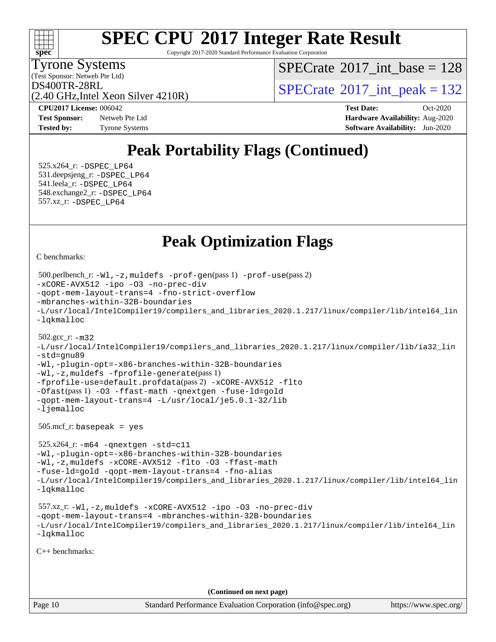

Copyright 2017-2020 Standard Performance Evaluation Corporation

(Test Sponsor: Netweb Pte Ltd) Tyrone Systems

 $SPECTate$ <sup>®</sup>[2017\\_int\\_base =](http://www.spec.org/auto/cpu2017/Docs/result-fields.html#SPECrate2017intbase) 128

(2.40 GHz,Intel Xeon Silver 4210R)

 $DS400TR-28RL$ <br> $(2.40 GHz)$  Intel Year Silver 4210R)

**[Test Sponsor:](http://www.spec.org/auto/cpu2017/Docs/result-fields.html#TestSponsor)** Netweb Pte Ltd **[Hardware Availability:](http://www.spec.org/auto/cpu2017/Docs/result-fields.html#HardwareAvailability)** Aug-2020 **[Tested by:](http://www.spec.org/auto/cpu2017/Docs/result-fields.html#Testedby)** Tyrone Systems **[Software Availability:](http://www.spec.org/auto/cpu2017/Docs/result-fields.html#SoftwareAvailability)** Jun-2020

**[CPU2017 License:](http://www.spec.org/auto/cpu2017/Docs/result-fields.html#CPU2017License)** 006042 **[Test Date:](http://www.spec.org/auto/cpu2017/Docs/result-fields.html#TestDate)** Oct-2020

### **[Peak Portability Flags \(Continued\)](http://www.spec.org/auto/cpu2017/Docs/result-fields.html#PeakPortabilityFlags)**

 525.x264\_r: [-DSPEC\\_LP64](http://www.spec.org/cpu2017/results/res2020q4/cpu2017-20201012-24152.flags.html#suite_peakPORTABILITY525_x264_r_DSPEC_LP64) 531.deepsjeng\_r: [-DSPEC\\_LP64](http://www.spec.org/cpu2017/results/res2020q4/cpu2017-20201012-24152.flags.html#suite_peakPORTABILITY531_deepsjeng_r_DSPEC_LP64) 541.leela\_r: [-DSPEC\\_LP64](http://www.spec.org/cpu2017/results/res2020q4/cpu2017-20201012-24152.flags.html#suite_peakPORTABILITY541_leela_r_DSPEC_LP64) 548.exchange2\_r: [-DSPEC\\_LP64](http://www.spec.org/cpu2017/results/res2020q4/cpu2017-20201012-24152.flags.html#suite_peakPORTABILITY548_exchange2_r_DSPEC_LP64) 557.xz\_r: [-DSPEC\\_LP64](http://www.spec.org/cpu2017/results/res2020q4/cpu2017-20201012-24152.flags.html#suite_peakPORTABILITY557_xz_r_DSPEC_LP64)

### **[Peak Optimization Flags](http://www.spec.org/auto/cpu2017/Docs/result-fields.html#PeakOptimizationFlags)**

[C benchmarks](http://www.spec.org/auto/cpu2017/Docs/result-fields.html#Cbenchmarks):

```
Page 10 Standard Performance Evaluation Corporation (info@spec.org) https://www.spec.org/
  500.perlbench_r: -Wl,-z,muldefs -prof-gen(pass 1) -prof-use(pass 2)
-xCORE-AVX512 -ipo -O3 -no-prec-div
-qopt-mem-layout-trans=4 -fno-strict-overflow
-mbranches-within-32B-boundaries
-L/usr/local/IntelCompiler19/compilers_and_libraries_2020.1.217/linux/compiler/lib/intel64_lin
-lqkmalloc
  502.gcc_r: -m32
-L/usr/local/IntelCompiler19/compilers_and_libraries_2020.1.217/linux/compiler/lib/ia32_lin
-std=gnu89
-Wl,-plugin-opt=-x86-branches-within-32B-boundaries
-Wl,-z,muldefs -fprofile-generate(pass 1)
-fprofile-use=default.profdata(pass 2) -xCORE-AVX512 -flto
-Ofast(pass 1) -O3 -ffast-math -qnextgen -fuse-ld=gold
-qopt-mem-layout-trans=4 -L/usr/local/je5.0.1-32/lib
-ljemalloc
  505.mcf_r: basepeak = yes
  525.x264_r: -m64 -qnextgen -std=c11
-Wl,-plugin-opt=-x86-branches-within-32B-boundaries
-Wl,-z,muldefs -xCORE-AVX512 -flto -O3 -ffast-math
-fuse-ld=gold -qopt-mem-layout-trans=4 -fno-alias
-L/usr/local/IntelCompiler19/compilers_and_libraries_2020.1.217/linux/compiler/lib/intel64_lin
-lqkmalloc
  557.xz_r: -Wl,-z,muldefs -xCORE-AVX512 -ipo -O3 -no-prec-div
-qopt-mem-layout-trans=4 -mbranches-within-32B-boundaries
-L/usr/local/IntelCompiler19/compilers_and_libraries_2020.1.217/linux/compiler/lib/intel64_lin
-lqkmalloc
C++ benchmarks: 
                                      (Continued on next page)
```